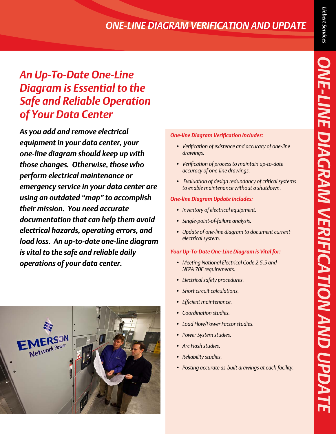## *ONE-LINE DIAGRAM VERIFICATION AND UPDATE*

# *An Up-To-Date One-Line Diagram is Essential to the Safe and Reliable Operation of Your Data Center*

*As you add and remove electrical equipment in your data center, your one-line diagram should keep up with those changes. Otherwise, those who perform electrical maintenance or emergency service in your data center are using an outdated "map" to accomplish their mission. You need accurate documentation that can help them avoid electrical hazards, operating errors, and load loss. An up-to-date one-line diagram is vital to the safe and reliable daily operations of your data center.*



#### *One-line Diagram Verification Includes:*

- *• Verification of existence and accuracy of one-line drawings.*
- *• Verification of process to maintain up-to-date accuracy of one-line drawings.*
- *• Evaluation of design redundancy of critical systems to enable maintenance without a shutdown.*

#### *One-line Diagram Update includes:*

- *• Inventory of electrical equipment.*
- *• Single-point-of-failure analysis.*
- *• Update of one-line diagram to document current electrical system.*

### *Your Up-To-Date One-Line Diagram is Vital for:*

- *• Meeting National Electrical Code 2.5.5 and NFPA 70E requirements.*
- *• Electrical safety procedures.*
- *<u>Short</u> circuit calculations.*
- *• Efficient maintenance.*
- *• Coordination studies.*
- *• Load Flow/Power Factor studies.*
- *• Power System studies.*
- *• Arc Flash studies.*
- *• Reliability studies.*
- *• Posting accurate as-built drawings at each facility.*